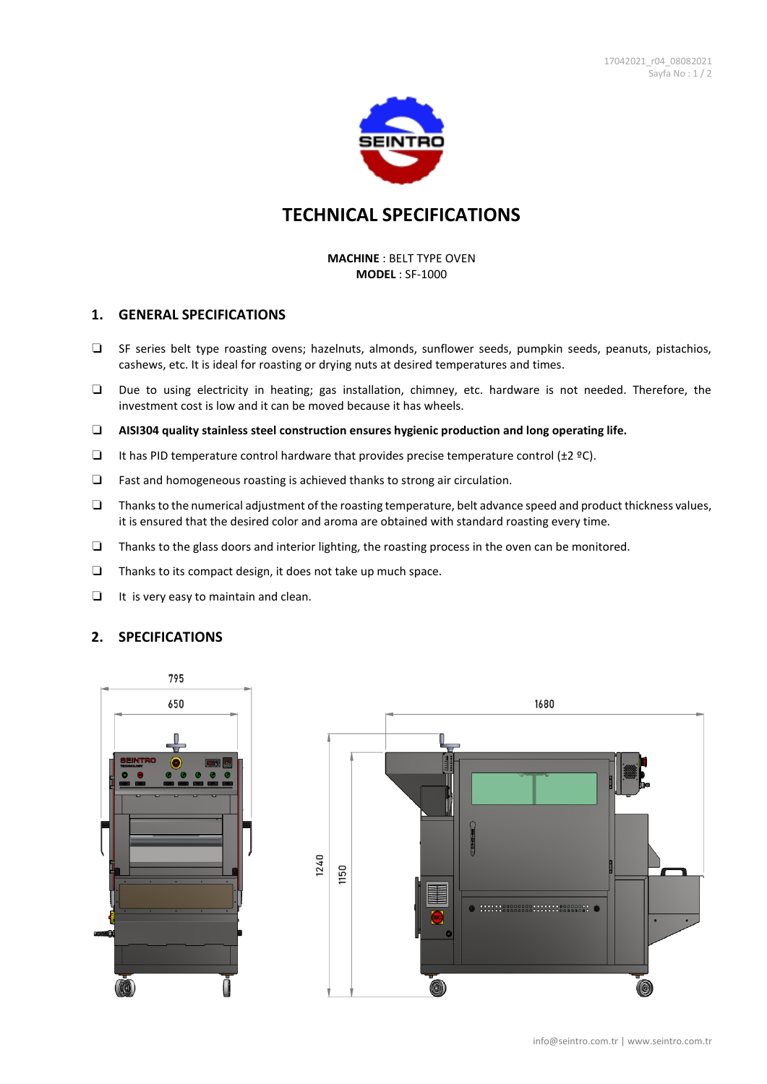

# **TECHNICAL SPECIFICATIONS**

#### **MACHINE** : BELT TYPE OVEN **MODEL** : SF-1000

#### **1. GENERAL SPECIFICATIONS**

- ❏ SF series belt type roasting ovens; hazelnuts, almonds, sunflower seeds, pumpkin seeds, peanuts, pistachios, cashews, etc. It is ideal for roasting or drying nuts at desired temperatures and times.
- ❏ Due to using electricity in heating; gas installation, chimney, etc. hardware is not needed. Therefore, the investment cost is low and it can be moved because it has wheels.
- ❏ **AISI304 quality stainless steel construction ensures hygienic production and long operating life.**
- ❏ It has PID temperature control hardware that provides precise temperature control (±2 ºC).
- ❏ Fast and homogeneous roasting is achieved thanks to strong air circulation.
- ❏ Thanks to the numerical adjustment of the roasting temperature, belt advance speed and product thickness values, it is ensured that the desired color and aroma are obtained with standard roasting every time.
- ❏ Thanks to the glass doors and interior lighting, the roasting process in the oven can be monitored.
- ❏ Thanks to its compact design, it does not take up much space.
- ❏ It is very easy to maintain and clean.

### **2. SPECIFICATIONS**